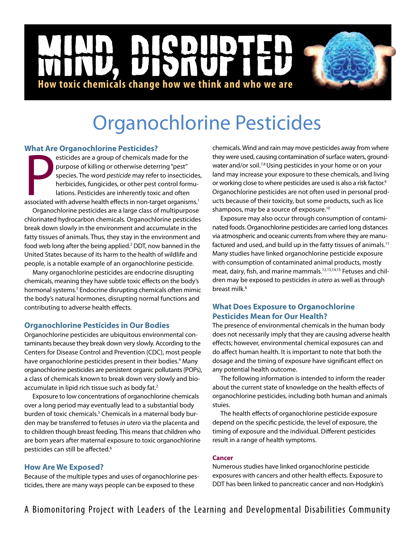# D NICD |<br>|<br>| **How toxic chemicals change how we think and who we are**

# Organochlorine Pesticides

# **What Are Organochlorine Pesticides?**

**PERICIONS:**<br>
esticides are a group of chemicals made for the<br>
purpose of killing or otherwise deterring "pest"<br>
species. The word *pesticide* may refer to insecticides<br>
herbicides, fungicides, or other pest control formul esticides are a group of chemicals made for the purpose of killing or otherwise deterring "pest" species. The word *pesticide* may refer to insecticides, herbicides, fungicides, or other pest control formulations. Pesticides are inherently toxic and often

Organochlorine pesticides are a large class of multipurpose chlorinated hydrocarbon chemicals. Organochlorine pesticides break down slowly in the environment and accumulate in the fatty tissues of animals. Thus, they stay in the environment and food web long after the being applied.<sup>2</sup> DDT, now banned in the United States because of its harm to the health of wildlife and people, is a notable example of an organochlorine pesticide.

Many organochlorine pesticides are endocrine disrupting chemicals, meaning they have subtle toxic effects on the body's hormonal systems.<sup>3</sup> Endocrine disrupting chemicals often mimic the body's natural hormones, disrupting normal functions and contributing to adverse health effects.

# **Organochlorine Pesticides in Our Bodies**

Organochlorine pesticides are ubiquitous environmental contaminants because they break down very slowly. According to the Centers for Disease Control and Prevention (CDC), most people have organochlorine pesticides present in their bodies.<sup>4</sup> Many organochlorine pesticides are persistent organic pollutants (POPs), a class of chemicals known to break down very slowly and bioaccumulate in lipid rich tissue such as body fat.<sup>2</sup>

Exposure to low concentrations of organochlorine chemicals over a long period may eventually lead to a substantial body burden of toxic chemicals.<sup>5</sup> Chemicals in a maternal body burden may be transferred to fetuses *in utero* via the placenta and to children though breast feeding. This means that children who are born years after maternal exposure to toxic organochlorine pesticides can still be affected.<sup>6</sup>

# **How Are We Exposed?**

Because of the multiple types and uses of organochlorine pesticides, there are many ways people can be exposed to these

chemicals. Wind and rain may move pesticides away from where they were used, causing contamination of surface waters, groundwater and/or soil.<sup>7,8</sup> Using pesticides in your home or on your land may increase your exposure to these chemicals, and living or working close to where pesticides are used is also a risk factor.<sup>9</sup> Organochlorine pesticides are not often used in personal products because of their toxicity, but some products, such as lice shampoos, may be a source of exposure.10

Exposure may also occur through consumption of contaminated foods. Organochlorine pesticides are carried long distances via atmospheric and oceanic currents from where they are manufactured and used, and build up in the fatty tissues of animals.<sup>11</sup> Many studies have linked organochlorine pesticide exposure with consumption of contaminated animal products, mostly meat, dairy, fish, and marine mammals.<sup>12,13,14,15</sup> Fetuses and children may be exposed to pesticides *in utero* as well as through breast milk.<sup>6</sup>

# **What Does Exposure to Organochlorine Pesticides Mean for Our Health?**

The presence of environmental chemicals in the human body does not necessarily imply that they are causing adverse health effects; however, environmental chemical exposures can and do affect human health. It is important to note that both the dosage and the timing of exposure have significant effect on any potential health outcome.

The following information is intended to inform the reader about the current state of knowledge on the health effects of organochlorine pesticides, including both human and animals stuies.

The health effects of organochlorine pesticide exposure depend on the specific pesticide, the level of exposure, the timing of exposure and the individual. Different pesticides result in a range of health symptoms.

### **Cancer**

Numerous studies have linked organochlorine pesticide exposures with cancers and other health effects. Exposure to DDT has been linked to pancreatic cancer and non-Hodgkin's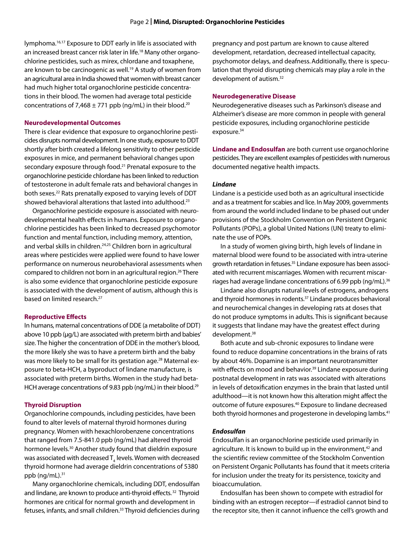lymphoma.<sup>16,17</sup> Exposure to DDT early in life is associated with an increased breast cancer risk later in life.<sup>18</sup> Many other organochlorine pesticides, such as mirex, chlordane and toxaphene, are known to be carcinogenic as well.<sup>19</sup> A study of women from an agricultural area in India showed that women with breast cancer had much higher total organochlorine pesticide concentrations in their blood. The women had average total pesticide concentrations of 7,468  $\pm$  771 ppb (ng/mL) in their blood.<sup>20</sup>

#### **Neurodevelopmental Outcomes**

There is clear evidence that exposure to organochlorine pesticides disrupts normal development. In one study, exposure to DDT shortly after birth created a lifelong sensitivity to other pesticide exposures in mice, and permanent behavioral changes upon secondary exposure through food.<sup>21</sup> Prenatal exposure to the organochlorine pesticide chlordane has been linked to reduction of testosterone in adult female rats and behavioral changes in both sexes.22 Rats prenatally exposed to varying levels of DDT showed behavioral alterations that lasted into adulthood.<sup>23</sup>

Organochlorine pesticide exposure is associated with neurodevelopmental health effects in humans. Exposure to organochlorine pesticides has been linked to decreased psychomotor function and mental function, including memory, attention, and verbal skills in children.<sup>24,25</sup> Children born in agricultural areas where pesticides were applied were found to have lower performance on numerous neurobehavioral assessments when compared to children not born in an agricultural region.<sup>26</sup> There is also some evidence that organochlorine pesticide exposure is associated with the development of autism, although this is based on limited research.<sup>27</sup>

#### **Reproductive Effects**

In humans, maternal concentrations of DDE (a metabolite of DDT) above 10 ppb ( $\mu$ g/L) are associated with preterm birth and babies' size. The higher the concentration of DDE in the mother's blood, the more likely she was to have a preterm birth and the baby was more likely to be small for its gestation age.<sup>28</sup> Maternal exposure to beta-HCH, a byproduct of lindane manufacture, is associated with preterm births. Women in the study had beta-HCH average concentrations of 9.83 ppb (ng/mL) in their blood.<sup>29</sup>

#### **Thyroid Disruption**

Organochlorine compounds, including pesticides, have been found to alter levels of maternal thyroid hormones during pregnancy. Women with hexachlorobenzene concentrations that ranged from 7.5-841.0 ppb (ng/mL) had altered thyroid hormone levels.<sup>30</sup> Another study found that dieldrin exposure was associated with decreased  $\mathsf{T}_4$  levels. Women with decreased thyroid hormone had average dieldrin concentrations of 5380 ppb  $(nq/mL).$ <sup>31</sup>

Many organochlorine chemicals, including DDT, endosulfan and lindane, are known to produce anti-thyroid effects. 32 Thyroid hormones are critical for normal growth and development in fetuses, infants, and small children.<sup>33</sup> Thyroid deficiencies during pregnancy and post partum are known to cause altered development, retardation, decreased intellectual capacity, psychomotor delays, and deafness.Additionally, there is speculation that thyroid disrupting chemicals may play a role in the development of autism.<sup>32</sup>

#### **Neurodegenerative Disease**

Neurodegenerative diseases such as Parkinson's disease and Alzheimer's disease are more common in people with general pesticide exposures, including organochlorine pesticide exposure.<sup>34</sup>

**Lindane and Endosulfan** are both current use organochlorine pesticides. They are excellent examples of pesticides with numerous documented negative health impacts.

#### *Lindane*

Lindane is a pesticide used both as an agricultural insecticide and as a treatment for scabies and lice. In May 2009, governments from around the world included lindane to be phased out under provisions of the Stockholm Convention on Persistent Organic Pollutants (POPs), a global United Nations (UN) treaty to eliminate the use of POPs.

In a study of women giving birth, high levels of lindane in maternal blood were found to be associated with intra-uterine growth retardation in fetuses.<sup>35</sup> Lindane exposure has been associated with recurrent miscarriages. Women with recurrent miscarriages had average lindane concentrations of 6.99 ppb (ng/mL). $36$ 

Lindane also disrupts natural levels of estrogens, androgens and thyroid hormones in rodents.<sup>37</sup> Lindane produces behavioral and neurochemical changes in developing rats at doses that do not produce symptoms in adults. This is significant because it suggests that lindane may have the greatest effect during development.<sup>38</sup>

Both acute and sub-chronic exposures to lindane were found to reduce dopamine concentrations in the brains of rats by about 46%. Dopamine is an important neurotransmitter with effects on mood and behavior.<sup>39</sup> Lindane exposure during postnatal development in rats was associated with alterations in levels of detoxification enzymes in the brain that lasted until adulthood—it is not known how this alteration might affect the outcome of future exposures.40 Exposure to lindane decreased both thyroid hormones and progesterone in developing lambs.<sup>41</sup>

#### *Endosulfan*

Endosulfan is an organochlorine pesticide used primarily in agriculture. It is known to build up in the environment,<sup>42</sup> and the scientific review committee of the Stockholm Convention on Persistent Organic Pollutants has found that it meets criteria for inclusion under the treaty for its persistence, toxicity and bioaccumulation.

Endosulfan has been shown to compete with estradiol for binding with an estrogen receptor—if estradiol cannot bind to the receptor site, then it cannot influence the cell's growth and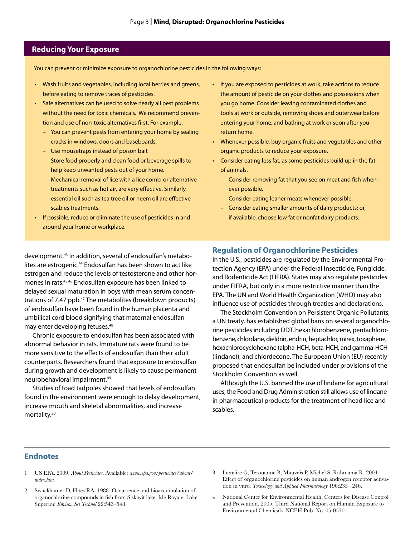#### **Reducing Your Exposure**

You can prevent or minimize exposure to organochlorine pesticides in the following ways:

- Wash fruits and vegetables, including local berries and greens, before eating to remove traces of pesticides.
- Safe alternatives can be used to solve nearly all pest problems without the need for toxic chemicals. We recommend prevention and use of non-toxic alternatives first. For example:
	- You can prevent pests from entering your home by sealing cracks in windows, doors and baseboards.
	- Use mousetraps instead of poison bait
	- Store food properly and clean food or beverage spills to help keep unwanted pests out of your home.
	- Mechanical removal of lice with a lice comb, or alternative treatments such as hot air, are very effective. Similarly, essential oil such as tea tree oil or neem oil are effective scabies treatments.
- If possible, reduce or eliminate the use of pesticides in and around your home or workplace.

development.43 In addition, several of endosulfan's metabolites are estrogenic.<sup>44</sup> Endosulfan has been shown to act like estrogen and reduce the levels of testosterone and other hormones in rats.45,46 Endosulfan exposure has been linked to delayed sexual maturation in boys with mean serum concentrations of 7.47 ppb.<sup>47</sup> The metabolites (breakdown products) of endosulfan have been found in the human placenta and umbilical cord blood signifying that maternal endosulfan may enter developing fetuses.48

Chronic exposure to endosulfan has been associated with abnormal behavior in rats. Immature rats were found to be more sensitive to the effects of endosulfan than their adult counterparts. Researchers found that exposure to endosulfan during growth and development is likely to cause permanent neurobehavioral impairment.49

Studies of toad tadpoles showed that levels of endosulfan found in the environment were enough to delay development, increase mouth and skeletal abnormalities, and increase mortality.50

- If you are exposed to pesticides at work, take actions to reduce the amount of pesticide on your clothes and possessions when you go home. Consider leaving contaminated clothes and tools at work or outside, removing shoes and outerwear before entering your home, and bathing at work or soon after you return home.
- Whenever possible, buy organic fruits and vegetables and other organic products to reduce your exposure.
- • Consider eating less fat, as some pesticides build up in the fat of animals.
	- Consider removing fat that you see on meat and fish whenever possible.
	- Consider eating leaner meats whenever possible.
	- Consider eating smaller amounts of dairy products; or, if available, choose low fat or nonfat dairy products.

#### **Regulation of Organochlorine Pesticides**

In the U.S., pesticides are regulated by the Environmental Protection Agency (EPA) under the Federal Insecticide, Fungicide, and Rodenticide Act (FIFRA). States may also regulate pesticides under FIFRA, but only in a more restrictive manner than the EPA. The UN and World Health Organization (WHO) may also influence use of pesticides through treaties and declarations.

The Stockholm Convention on Persistent Organic Pollutants, a UN treaty, has established global bans on several organochlorine pesticides including DDT, hexachlorobenzene, pentachlorobenzene, chlordane, dieldrin, endrin, heptachlor, mirex, toxaphene, hexachlorocyclohexane (alpha-HCH, beta-HCH, and gamma-HCH (lindane)), and chlordecone. The European Union (EU) recently proposed that endosulfan be included under provisions of the Stockholm Convention as well.

Although the U.S. banned the use of lindane for agricultural uses, the Food and Drug Administration still allows use of lindane in pharmaceutical products for the treatment of head lice and scabies.

#### **Endnotes**

- 1 US EPA. 2009. *About Pesticides*. Available: *www.epa.gov/pesticides/about/ index.htm*
- 2 Swackhamer D, Hites RA. 1988. Occurrence and bioaccumulation of organochlorine compounds in fish from Siskiwit lake, Isle Royale, Lake Superior. *Environ Sci Technol* 22:543–548.
- 3 Lemaire G, Terouanne B, Mauvais P, Michel S, Rahmania R. 2004 Effect of organochlorine pesticides on human androgen receptor activation in vitro. *Toxicology and Applied Pharmacology* 196:235– 246.
- 4 National Center for Environmental Health, Centers for Disease Control and Prevention. 2005. Third National Report on Human Exposure to Environmental Chemicals. NCEH Pub. No. 05-0570.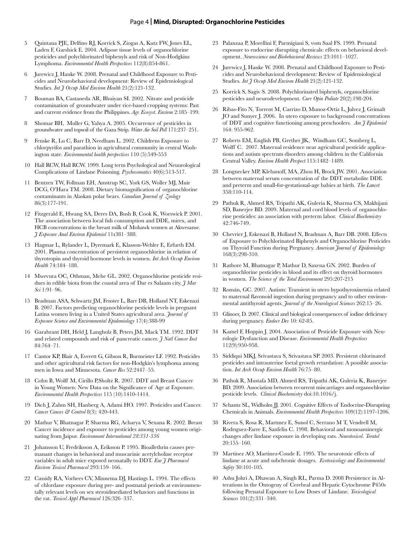#### Page 4 **| Mind, Disrupted: Organochlorine Pesticides**

- 5 Quintana PJE, Delfino RJ, Korrick S, Ziogas A, Kutz FW, Jones EL, Laden F, Garshick E. 2004. Adipose tissue levels of organochlorine pesticides and polychlorinated biphenyls and risk of Non-Hodgkins Lymphoma. *Environmental Health Perspectives* 112(8):854-861.
- 6 Jurewicz J, Hanke W. 2008. Prenatal and Childhood Exposure to Pesticides and Neurobehavioral development: Review of Epidemiological Studies. *Int J Occup Med Environ Health* 21(2):121-132.
- 7 Bouman BA, Castaneda AR, Bhuiyan SI. 2002. Nitrate and pesticide contamination of groundwater under rice-based cropping systems: Past and current evidence from the Philippines. *Agr. Ecosyst. Environ* 2:185–199.
- 8 Shomar BH, Muller G, Yahya A. 2005. Occurrence of pesticides in groundwater and topsoil of the Gaza Strip. *Water Air Soil Poll* 171:237–251.
- 9 Fenske R, Lu C, Barr D, Needham L. 2002. Childrens Exposure to chlorpyrifos and parathion in agricultural community in central Washington state. *Environmental health perspectives* 110 (5):549-553
- 10 Hall RCW, Hall RCW. 1999. Long term Psychological and Neuurological Complications of Lindane Poisoning. *Psychosomatics* 40(6):513-517.
- 11 Bentzen TW, Follman EH, Amstrup SC, York GS, Woller MJ, Muir DCG, O'Hara TM. 2008. Dietary biomagnification of organochlorine contaminants in Alaskan polar bears. *Canadian Journal of Zoology* 86(3):177-191.
- 12 Fitzgerald E, Hwang SA, Deres DA, Bush B, Cook K, Worswick P. 2001. The association between local fish consumption and DDE, mirex, and HCB concentrations in the breast milk of Mohawk women at Akwesanse*. J Exposure Anal Environ Epidemiol* 11**:**381–388.
- 13 Hagmar L, Rylander L, Dyremark E, Klasson-Wehler E, Erfurth EM. 2001. Plasma concentration of persistent organochlorine in relation of thyrotropin and thyroid hormone levels in women. *Int Arch Occup Environ Health* 74:184–188.
- 14 Mwevura OC, Othman, Mehe GL. 2002. Organochlorine pesticide residues in edible biota from the coastal area of Dar es Salaam city. *J Mar Sci* 1:91–96.
- 15 Bradman ASA, Schwartz JM, Fenster L, Barr DB, Holland NT, Eskenazi B. 2007. Factors predicting organochlorine pesticide levels in pregnant Latina women living in a United States agricultural area. *Journal of Exposure Science and Environmental Epidemiology* 17(4):388-99
- 16 Garabrant DH, Held J, Langholz B, Peters JM, Mack TM. 1992. DDT and related compounds and risk of pancreatic cancer. *J Natl Cancer Inst*  84:764–71.
- 17 Cantor KP, Blair A, Everett G, Gibson R, Burmeister LF. 1992. Pesticides and other agricultural risk factors for non-Hodgkin's lymphoma among men in Iowa and Minnesota. *Cancer Res* 52:2447–55.
- 18 Cohn B, Wolff M, Cirillo P,Sholtz R. 2007. DDT and Breast Cancer in Young Women: New Data on the Significance of Age at Exposure. *Environmental Health Perspectives* 115 (10):1410-1414.
- 19 Dich J, Zahm SH, Hanberg A, Adami HO. 1997. Pesticides and Cancer. *Cancer Causes & Control* 8(3): 420-443.
- 20 Mathur V, Bhatnagar P, Sharma RG, Acharya V, Sexana R. 2002. Breast Cancer incidence and exposure to pesticides among young women originating from Jaipur. *Environment International 28:331-336*
- 21 Johansson U, Fredriksson A, Eriksson P. 1995. Bioallethrin causes permanant changes in behavioral and muscarinic acetylcholine receptor variables in adult mice exposed neonatally to DDT. *Eur J Pharmacol Environ Toxicol Pharmacol* 293:159–166.
- 22 Cassidy RA, Vorhees CV, Minnema DJ, Hastings L. 1994. The effects of chlordane exposure during pre- and postnatal periods at environmentally relevant levels on sex steroidmediated behaviors and functions in the rat. *Toxicol Appl Pharmacol* 126:326–337.
- 23 Palanzaa P, Morellini F, Parmigiani S, vom Saal FS. 1999. Prenatal exposure to endocrine disrupting chemicals: effects on behavioral development. *Neuroscience and Biobehavioral Reviews* 23:1011–1027.
- 24 Jurewicz J, Hanke W. 2008. Prenatal and Childhood Exposure to Pesticides and Neurobehavioral development: Review of Epidemiological Studies. *Int J Occup Med Environ Health* 21(2):121-132.
- 25 Korrick S, Sagiv S. 2008. Polychlorinated biphenyls, organochlorine pesticides and neurodevelopment. *Curr Opin Pediatr* 20(2):198-204.
- 26 Ribas-Fito N, Torrent M, Carrizo D, Munoz-Ortiz L, Julvez J, Grimalt JO and Sunyer J. 2006. In utero exposure to background concentrations of DDT and cognitive functioning among preschoolers. *Am J Epidemiol* 164: 955-962.
- 27 Roberts EM, English PB, Grether JK, Windham GC, Somberg L, Wolff C. 2007. Maternal residence near agricultural pesticide applications and autism spectrum disorders among children in the California Central Valley. *Environ Health Perspect* 115:1482–1489.
- 28 Longnecker MP, Klebanoff, MA, Zhou H, Brock JW. 2001. Association between maternal serum concentration of the DDT metabolite DDE and preterm and small-for-gestational-age babies at birth. *The Lancet* 358:110-114.
- 29 Pathuk R, Ahmed RS, Tripathi AK, Guleria K, Sharma CS, Makhijani SD, Banerjee BD. 2009. Maternal and cord blood levels of organochlorine pesticides: an association with preterm labor. *Clinical Biochemistry* 42:746-749.
- 30 Chevrier J, Eskenazi B, Holland N, Bradman A, Barr DB. 2008. Effects of Exposure to Polychlorinated Biphenyls and Organochlorine Pesticides on Thyroid Function during Pregnancy. *American Journal of Epidemiology* 168(3):298-310.
- 31 Rathore M, Bhatnagar P, Mathur D, Saxena GN. 2002. Burden of organochlorine pesticides in blood and its effect on thyroid hormones in women. *The Science of the Total Environment* 295:207-215
- 32 Román, GC. 2007. Autism: Transient in utero hypothyroxinemia related to maternal flavonoid ingestion during pregnancy and to other environmental antithyroid agents. *Journal of the Neurological Sciences* 262:15–26.
- 33 Glinoer, D. 2007. Clinical and biological consequences of iodine deficiency during pregnancy. *Endocr Dev* 10: 62-85.
- 34 Kamel F, Hoppin J. 2004. Association of Pesticide Exposure with Neurologic Dysfunction and Disease. *Environmental Health Perspectives*  112(9):950-958.
- 35 Siddiqui MKJ, Srivastava S, Srivastava SP. 2003. Persistent chlorinated pesticides and intrauterine foetal growth retardation: A possible association. *Int Arch Occup Environ Health* 76:75–80.
- 36 Pathuk R, Mustafa MD, Ahmed RS, Tripathi AK, Guleria K, Banerjee BD. 2009. Association between recurrent miscarriages and organochlorine pesticide levels. *Clinical Biochemistry* doi:10.1016/j.
- 37 Schantz SL, Widholm JJ. 2001. Cognitive Effects of Endocrine-Disrupting Chemicals in Animals. *Environmental Health Perspectives* 109(12):1197-1206.
- 38 Rivera S, Rosa R, Martınez E, Sunol C, Serrano M T, Vendrell M, Rodrıguez-Farre E, Sanfeliu C. 1998. Behavioral and monoaminergic changes after lindane exposure in developing rats. *Neurotoxicol. Teratol* 20:155–160.
- 39 Martinez AO, Martinez-Conde E. 1995. The neurotoxic effects of lindane at acute and subchronic dosages. *Ecotoxicology and Environmental Safety* 30:101-105.
- 40 Ashu Johri A, Dhawan A, Singh RL, Parma D. 2008 Persistence in Alterations in the Ontogeny of Cerebral and Hepatic Cytochrome P450s following Prenatal Exposure to Low Doses of Lindane. *Toxicological Sciences* 101(2):331–340.